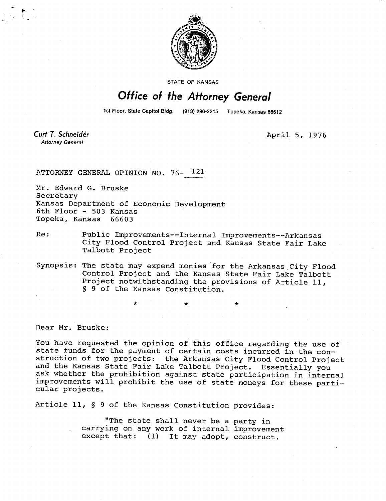

STATE OF KANSAS

## Office of the Attorney General

1st Floor, State Capitol Bldg. (913) 296-2215 Topeka, Kansas 66612

Curt T. Schneider **Attorney General** 

April 5, 1976

ATTORNEY GENERAL OPINION NO. 76- 121

Mr. Edward G. Bruske Secretary Kansas Department of Economic Development 6th Floor - 503 Kansas Topeka, Kansas 66603

- Re: Public Improvements--Internal Improvements--Arkansas City Flood Control Project and Kansas State Fair Lake Talbott Project
- Synopsis: The state may expend monies for the Arkansas City Flood Control Project and the Kansas State Fair Lake Talbott Project notwithstanding the provisions of Article 11, § 9 of the Kansas Constitution.

Dear Mr. Bruske:

You have requested the opinion of this office regarding the use of state funds for the payment of certain costs incurred in the construction of two projects: the Arkansas City Flood Control Project and the Kansas State Fair Lake Talbott Project. Essentially you ask whether the prohibition against state participation in internal improvements will prohibit the use of state moneys for these particular projects.

Article 11, § 9 of the Kansas Constitution provides:

"The state shall never be a party in carrying on any work of internal improvement except that: (1) It may adopt, construct,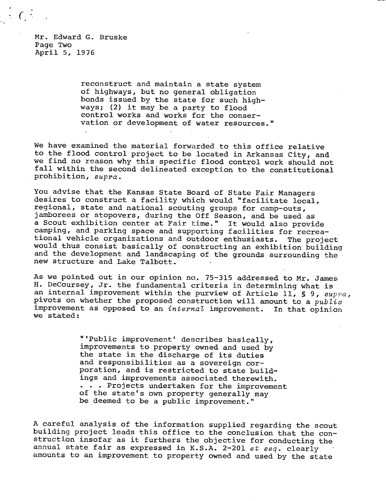Mr. Edward G. Bruske Page Two April 5, 1976

 $\cdot$   $\cdot$ 

reconstruct and maintain a state system of highways, but no general obligation bonds issued by the state for such highways; (2) it may be a party to flood control works and works for the conservation or development of water resources."

We have examined the material forwarded to this office relative to the flood control project to be located in Arkansas City, and we find no reason why this specific flood control work should not fall within the second delineated exception to the constitutional prohibition, supra.

You advise that the Kansas State Board of State Fair Managers desires to construct a facility which would "facilitate local, regional, state and national scouting groups for camp-outs, jamborees or stopovers, during the Off Season, and be used as a Scout exhibition center at Fair time." It would also provide camping, and parking space and supporting facilities for recreational vehicle organizations and outdoor enthusiasts. The project would thus consist basically of constructing an exhibition building and the development and landscaping of the grounds surrounding the new structure and Lake Talbott.

As we pointed out in our opinion no. 75-315 addressed to Mr. James H. DeCoursey, Jr. the fundamental criteria in determining what is an internal improvement within the purview of Article 11, § 9,  $supra_r$ pivots on whether the proposed construction will amount to a  $public$ improvement as opposed to an internal improvement. In that opinion we stated:

> "'Public improvement' describes basically, improvements to property owned and used by the state in the discharge of its duties and responsibilities as a sovereign corporation, and is restricted to state buildings and improvements associated therewith. . . . Projects undertaken for the improvement of the state's own property generally may be deemed to be a public improvement."

A careful analysis of the information supplied regarding the scout building project leads this office to the conclusion that the construction insofar as it furthers the objective for conducting the annual state fair as expressed in K.S.A. 2-201 et seq. clearly amounts to an improvement to property owned and used by the state